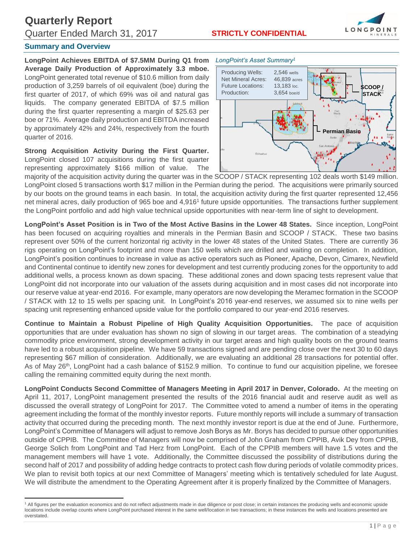**Quarterly Report** Quarter Ended March 31, 2017 **STRICTLY CONFIDENTIAL**



## **Summary and Overview**

 $\overline{\phantom{a}}$ 

**LongPoint Achieves EBITDA of \$7.5MM During Q1 from Average Daily Production of Approximately 3.3 mboe.**  LongPoint generated total revenue of \$10.6 million from daily production of 3,259 barrels of oil equivalent (boe) during the first quarter of 2017, of which 69% was oil and natural gas liquids. The company generated EBITDA of \$7.5 million during the first quarter representing a margin of \$25.63 per boe or 71%. Average daily production and EBITDA increased by approximately 42% and 24%, respectively from the fourth quarter of 2016.

**Strong Acquisition Activity During the First Quarter.**  LongPoint closed 107 acquisitions during the first quarter representing approximately \$166 million of value. The



majority of the acquisition activity during the quarter was in the SCOOP / STACK representing 102 deals worth \$149 million. LongPoint closed 5 transactions worth \$17 million in the Permian during the period. The acquisitions were primarily sourced by our boots on the ground teams in each basin. In total, the acquisition activity during the first quarter represented 12,456 net mineral acres, daily production of 965 boe and 4,916<sup>1</sup> future upside opportunities. The transactions further supplement the LongPoint portfolio and add high value technical upside opportunities with near-term line of sight to development.

**LongPoint's Asset Position is in Two of the Most Active Basins in the Lower 48 States.** Since inception, LongPoint has been focused on acquiring royalties and minerals in the Permian Basin and SCOOP / STACK. These two basins represent over 50% of the current horizontal rig activity in the lower 48 states of the United States. There are currently 36 rigs operating on LongPoint's footprint and more than 150 wells which are drilled and waiting on completion. In addition, LongPoint's position continues to increase in value as active operators such as Pioneer, Apache, Devon, Cimarex, Newfield and Continental continue to identify new zones for development and test currently producing zones for the opportunity to add additional wells, a process known as down spacing. These additional zones and down spacing tests represent value that LongPoint did not incorporate into our valuation of the assets during acquisition and in most cases did not incorporate into our reserve value at year-end 2016. For example, many operators are now developing the Meramec formation in the SCOOP / STACK with 12 to 15 wells per spacing unit. In LongPoint's 2016 year-end reserves, we assumed six to nine wells per spacing unit representing enhanced upside value for the portfolio compared to our year-end 2016 reserves.

**Continue to Maintain a Robust Pipeline of High Quality Acquisition Opportunities.** The pace of acquisition opportunities that are under evaluation has shown no sign of slowing in our target areas. The combination of a steadying commodity price environment, strong development activity in our target areas and high quality boots on the ground teams have led to a robust acquisition pipeline. We have 59 transactions signed and are pending close over the next 30 to 60 days representing \$67 million of consideration. Additionally, we are evaluating an additional 28 transactions for potential offer. As of May 26<sup>th</sup>, LongPoint had a cash balance of \$152.9 million. To continue to fund our acquisition pipeline, we foresee calling the remaining committed equity during the next month.

**LongPoint Conducts Second Committee of Managers Meeting in April 2017 in Denver, Colorado.** At the meeting on April 11, 2017, LongPoint management presented the results of the 2016 financial audit and reserve audit as well as discussed the overall strategy of LongPoint for 2017. The Committee voted to amend a number of items in the operating agreement including the format of the monthly investor reports. Future monthly reports will include a summary of transaction activity that occurred during the preceding month. The next monthly investor report is due at the end of June. Furthermore, LongPoint's Committee of Managers will adjust to remove Josh Borys as Mr. Borys has decided to pursue other opportunities outside of CPPIB. The Committee of Managers will now be comprised of John Graham from CPPIB, Avik Dey from CPPIB, George Solich from LongPoint and Tad Herz from LongPoint. Each of the CPPIB members will have 1.5 votes and the management members will have 1 vote. Additionally, the Committee discussed the possibility of distributions during the second half of 2017 and possibility of adding hedge contracts to protect cash flow during periods of volatile commodity prices. We plan to revisit both topics at our next Committee of Managers' meeting which is tentatively scheduled for late August. We will distribute the amendment to the Operating Agreement after it is properly finalized by the Committee of Managers.

<sup>&</sup>lt;sup>1</sup> All figures per the evaluation economics and do not reflect adjustments made in due diligence or post close; in certain instances the producing wells and economic upside locations include overlap counts where LongPoint purchased interest in the same well/location in two transactions; in these instances the wells and locations presented are overstated.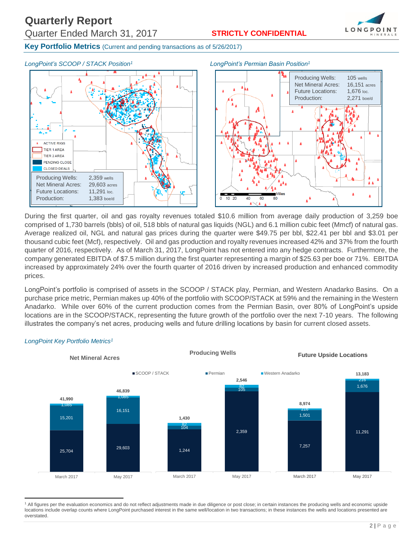

**Key Portfolio Metrics** (Current and pending transactions as of 5/26/2017)



During the first quarter, oil and gas royalty revenues totaled \$10.6 million from average daily production of 3,259 boe comprised of 1,730 barrels (bbls) of oil, 518 bbls of natural gas liquids (NGL) and 6.1 million cubic feet (Mmcf) of natural gas. Average realized oil, NGL and natural gas prices during the quarter were \$49.75 per bbl, \$22.41 per bbl and \$3.01 per thousand cubic feet (Mcf), respectively. Oil and gas production and royalty revenues increased 42% and 37% from the fourth quarter of 2016, respectively. As of March 31, 2017, LongPoint has not entered into any hedge contracts. Furthermore, the company generated EBITDA of \$7.5 million during the first quarter representing a margin of \$25.63 per boe or 71%. EBITDA increased by approximately 24% over the fourth quarter of 2016 driven by increased production and enhanced commodity prices.

LongPoint's portfolio is comprised of assets in the SCOOP / STACK play, Permian, and Western Anadarko Basins. On a purchase price metric, Permian makes up 40% of the portfolio with SCOOP/STACK at 59% and the remaining in the Western Anadarko. While over 60% of the current production comes from the Permian Basin, over 80% of LongPoint's upside locations are in the SCOOP/STACK, representing the future growth of the portfolio over the next 7-10 years. The following illustrates the company's net acres, producing wells and future drilling locations by basin for current closed assets.



## *LongPoint Key Portfolio Metrics<sup>1</sup>*

 $\overline{\phantom{a}}$ 

<sup>&</sup>lt;sup>1</sup> All figures per the evaluation economics and do not reflect adjustments made in due diligence or post close; in certain instances the producing wells and economic upside locations include overlap counts where LongPoint purchased interest in the same well/location in two transactions; in these instances the wells and locations presented are overstated.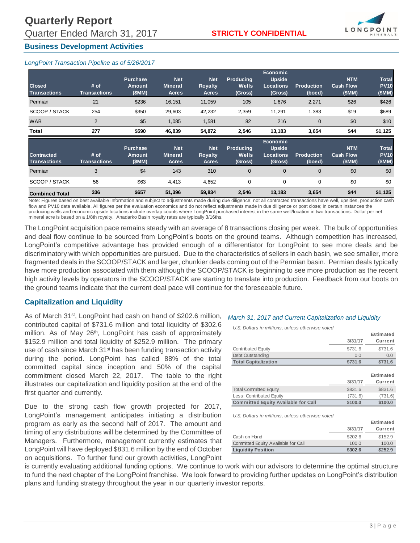

## **Business Development Activities**

## *LongPoint Transaction Pipeline as of 5/26/2017*

| <b>Closed</b><br><b>Transactions</b>     | # of<br><b>Transactions</b> | <b>Purchase</b><br>Amount<br>(SMM) | <b>Net</b><br><b>Mineral</b><br><b>Acres</b> | <b>Net</b><br><b>Royalty</b><br><b>Acres</b> | <b>Producing</b><br>Wells<br>(Gross) | <b>Economic</b><br><b>Upside</b><br><b>Locations</b><br>(Gross) | <b>Production</b><br>(boed) | <b>NTM</b><br><b>Cash Flow</b><br>(SMM) | <b>Total</b><br><b>PV10</b><br>(SMM) |
|------------------------------------------|-----------------------------|------------------------------------|----------------------------------------------|----------------------------------------------|--------------------------------------|-----------------------------------------------------------------|-----------------------------|-----------------------------------------|--------------------------------------|
| Permian                                  | 21                          | \$236                              | 16,151                                       | 11,059                                       | 105                                  | 1,676                                                           | 2,271                       | \$26                                    | \$426                                |
| SCOOP / STACK                            | 254                         | \$350                              | 29,603                                       | 42,232                                       | 2,359                                | 11,291                                                          | 1,383                       | \$19                                    | \$689                                |
| <b>WAB</b>                               | $\overline{2}$              | \$5                                | 1,085                                        | 1,581                                        | 82                                   | 216                                                             | $\mathbf 0$                 | \$0                                     | \$10                                 |
| <b>Total</b>                             | 277                         | \$590                              | 46,839                                       | 54,872                                       | 2,546                                | 13,183                                                          | 3,654                       | \$44                                    | \$1,125                              |
| <b>Contracted</b><br><b>Transactions</b> | # of<br><b>Transactions</b> | <b>Purchase</b><br>Amount<br>(SMM) | <b>Net</b><br><b>Mineral</b><br>Acres        | <b>Net</b><br><b>Royalty</b><br><b>Acres</b> | <b>Producing</b><br>Wells<br>(Gross) | <b>Economic</b><br><b>Upside</b><br><b>Locations</b><br>(Gross) | <b>Production</b><br>(boed) | <b>NTM</b><br><b>Cash Flow</b><br>(SMM) | <b>Total</b><br><b>PV10</b><br>(SMM) |
| Permian                                  | 3                           | \$4                                | 143                                          | 310                                          | $\mathbf 0$                          | $\mathbf 0$                                                     | $\mathbf 0$                 | \$0                                     | \$0                                  |
| SCOOP / STACK                            | 56                          | \$63                               | 4,413                                        | 4,652                                        | 0                                    | $\mathbf 0$                                                     | 0                           | \$0                                     | \$0                                  |
|                                          |                             |                                    |                                              |                                              |                                      |                                                                 |                             |                                         |                                      |

Note: Figures based on best available information and subject to adjustments made during due diligence; not all contracted transactions have well, upsides, production cash flow and PV10 data available. All figures per the evaluation economics and do not reflect adjustments made in due diligence or post close; in certain instances the producing wells and economic upside locations include overlap counts where LongPoint purchased interest in the same well/location in two transactions. Dollar per net mineral acre is based on a 1/8th royalty. Anadarko Basin royalty rates are typically 3/16ths.

The LongPoint acquisition pace remains steady with an average of 8 transactions closing per week. The bulk of opportunities and deal flow continue to be sourced from LongPoint's boots on the ground teams. Although competition has increased, LongPoint's competitive advantage has provided enough of a differentiator for LongPoint to see more deals and be discriminatory with which opportunities are pursued. Due to the characteristics of sellers in each basin, we see smaller, more fragmented deals in the SCOOP/STACK and larger, chunkier deals coming out of the Permian basin. Permian deals typically have more production associated with them although the SCOOP/STACK is beginning to see more production as the recent high activity levels by operators in the SCOOP/STACK are starting to translate into production. Feedback from our boots on the ground teams indicate that the current deal pace will continue for the foreseeable future.

## **Capitalization and Liquidity**

As of March 31st, LongPoint had cash on hand of \$202.6 million, *March 31, 2017 and Current Capitalization and Liquidity* contributed capital of \$731.6 million and total liquidity of \$302.6 million. As of May 26<sup>th</sup>, LongPoint has cash of approximately \$152.9 million and total liquidity of \$252.9 million. The primary use of cash since March 31<sup>st</sup> has been funding transaction activity during the period. LongPoint has called 88% of the total committed capital since inception and 50% of the capital commitment closed March 22, 2017. The table to the right illustrates our capitalization and liquidity position at the end of the first quarter and currently.

Due to the strong cash flow growth projected for 2017, LongPoint's management anticipates initiating a distribution program as early as the second half of 2017. The amount and timing of any distributions will be determined by the Committee of Managers. Furthermore, management currently estimates that LongPoint will have deployed \$831.6 million by the end of October on acquisitions. To further fund our growth activities, LongPoint

| U.S. Dollars in millions, unless otherwise noted |         |                |
|--------------------------------------------------|---------|----------------|
|                                                  |         | Estimated      |
|                                                  | 3/31/17 | <b>Current</b> |
| <b>Contributed Equity</b>                        | \$731.6 | \$731.6        |
| Debt Outstanding                                 | 0.0     | 0.0            |
| <b>Total Capitalization</b>                      | \$731.6 | \$731.6        |
|                                                  |         |                |
|                                                  |         | Estimated      |
|                                                  | 3/31/17 | <b>Current</b> |
| <b>Total Committed Equity</b>                    | \$831.6 | \$831.6        |
| Less: Contributed Equity                         | (731.6) | (731.6)        |
|                                                  |         | \$100.0        |

*U.S. Dollars in millions, unless otherwise noted*

|                                     |         | Estimated |
|-------------------------------------|---------|-----------|
|                                     | 3/31/17 | Current   |
| Cash on Hand                        | \$202.6 | \$152.9   |
| Committed Equity Available for Call | 100.0   | 100.0     |
| <b>Liquidity Position</b>           | \$302.6 | \$252.9   |

is currently evaluating additional funding options. We continue to work with our advisors to determine the optimal structure to fund the next chapter of the LongPoint franchise. We look forward to providing further updates on LongPoint's distribution plans and funding strategy throughout the year in our quarterly investor reports.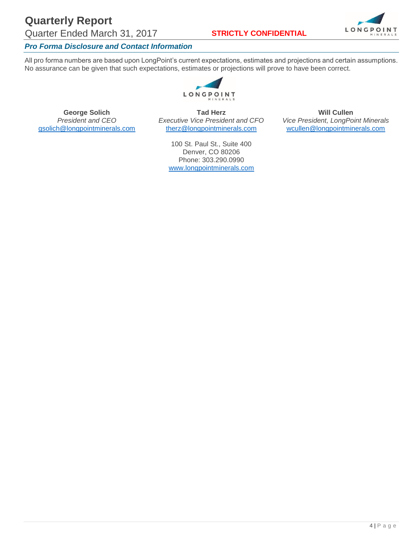# **Quarterly Report**

Quarter Ended March 31, 2017 **STRICTLY CONFIDENTIAL**



## *Pro Forma Disclosure and Contact Information*

All pro forma numbers are based upon LongPoint's current expectations, estimates and projections and certain assumptions. No assurance can be given that such expectations, estimates or projections will prove to have been correct.



**George Solich Tad Herz Tad Herz Will Cullen**<br>*President and CEO Executive Vice President and CFO <i>Vice President, LongPo* 

*President and CEO Executive Vice President and CFO Vice President, LongPoint Minerals* [wcullen@longpointminerals.com](mailto:wcullen@longpointminerals.com)

> 100 St. Paul St., Suite 400 Denver, CO 80206 Phone: 303.290.0990 [www.longpointminerals.com](http://www.longpointminerals.com/)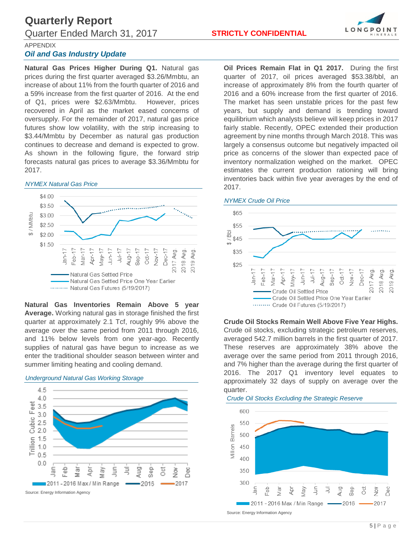

### APPENDIX

## *Oil and Gas Industry Update*

**Natural Gas Prices Higher During Q1.** Natural gas prices during the first quarter averaged \$3.26/Mmbtu, an increase of about 11% from the fourth quarter of 2016 and a 59% increase from the first quarter of 2016. At the end of Q1, prices were \$2.63/Mmbtu. However, prices recovered in April as the market eased concerns of oversupply. For the remainder of 2017, natural gas price futures show low volatility, with the strip increasing to \$3.44/Mmbtu by December as natural gas production continues to decrease and demand is expected to grow. As shown in the following figure, the forward strip forecasts natural gas prices to average \$3.36/Mmbtu for 2017.

#### *NYMEX Natural Gas Price*



**Natural Gas Inventories Remain Above 5 year Average.** Working natural gas in storage finished the first quarter at approximately 2.1 Tcf, roughly 9% above the average over the same period from 2011 through 2016, and 11% below levels from one year-ago. Recently supplies of natural gas have begun to increase as we enter the traditional shoulder season between winter and summer limiting heating and cooling demand.



**Oil Prices Remain Flat in Q1 2017.** During the first quarter of 2017, oil prices averaged \$53.38/bbl, an increase of approximately 8% from the fourth quarter of 2016 and a 60% increase from the first quarter of 2016. The market has seen unstable prices for the past few years, but supply and demand is trending toward equilibrium which analysts believe will keep prices in 2017 fairly stable. Recently, OPEC extended their production agreement by nine months through March 2018. This was largely a consensus outcome but negatively impacted oil price as concerns of the slower than expected pace of inventory normalization weighed on the market. OPEC estimates the current production rationing will bring inventories back within five year averages by the end of 2017.

#### *NYMEX Crude Oil Price*



### **Crude Oil Stocks Remain Well Above Five Year Highs.**

Crude oil stocks, excluding strategic petroleum reserves, averaged 542.7 million barrels in the first quarter of 2017. These reserves are approximately 38% above the average over the same period from 2011 through 2016, and 7% higher than the average during the first quarter of 2016. The 2017 Q1 inventory level equates to approximately 32 days of supply on average over the quarter.

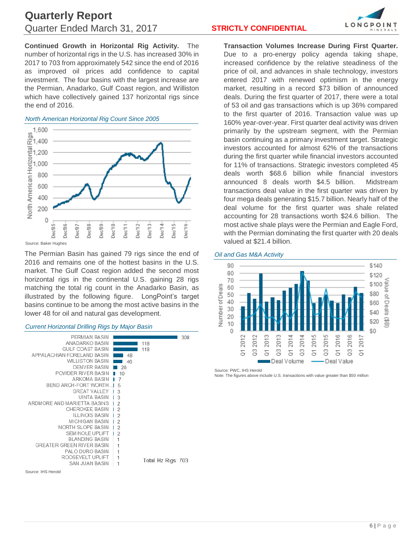## **Quarterly Report** Quarter Ended March 31, 2017 **STRICTLY CONFIDENTIAL**

**Continued Growth in Horizontal Rig Activity.** The number of horizontal rigs in the U.S. has increased 30% in 2017 to 703 from approximately 542 since the end of 2016 as improved oil prices add confidence to capital investment. The four basins with the largest increase are the Permian, Anadarko, Gulf Coast region, and Williston which have collectively gained 137 horizontal rigs since the end of 2016.

### *North American Horizontal Rig Count Since 2005*



Source: Baker Hughes

The Permian Basin has gained 79 rigs since the end of 2016 and remains one of the hottest basins in the U.S. market. The Gulf Coast region added the second most horizontal rigs in the continental U.S. gaining 28 rigs matching the total rig count in the Anadarko Basin, as illustrated by the following figure. LongPoint's target basins continue to be among the most active basins in the lower 48 for oil and natural gas development.

#### *Current Horizontal Drilling Rigs by Major Basin*



Source: IHS Herold



**Transaction Volumes Increase During First Quarter.** Due to a pro-energy policy agenda taking shape, increased confidence by the relative steadiness of the price of oil, and advances in shale technology, investors entered 2017 with renewed optimism in the energy market, resulting in a record \$73 billion of announced deals. During the first quarter of 2017, there were a total of 53 oil and gas transactions which is up 36% compared to the first quarter of 2016. Transaction value was up 160% year-over-year. First quarter deal activity was driven primarily by the upstream segment, with the Permian basin continuing as a primary investment target. Strategic investors accounted for almost 62% of the transactions during the first quarter while financial investors accounted for 11% of transactions. Strategic investors completed 45 deals worth \$68.6 billion while financial investors announced 8 deals worth \$4.5 billion. Midstream transactions deal value in the first quarter was driven by four mega deals generating \$15.7 billion. Nearly half of the deal volume for the first quarter was shale related accounting for 28 transactions worth \$24.6 billion. The most active shale plays were the Permian and Eagle Ford, with the Permian dominating the first quarter with 20 deals valued at \$21.4 billion.

#### *Oil and Gas M&A Activity*



Source: PWC, IHS Herold

Note: The figures above include U.S. transactions with value greater than \$50 million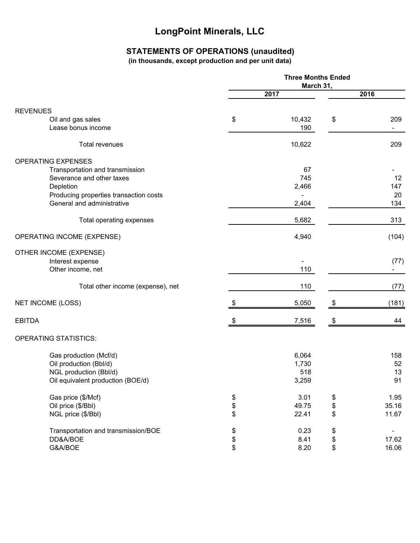## **STATEMENTS OF OPERATIONS (unaudited)**

**(in thousands, except production and per unit data)**

|                                        | <b>Three Months Ended</b><br>March 31, |        |      |       |
|----------------------------------------|----------------------------------------|--------|------|-------|
|                                        | 2017                                   |        | 2016 |       |
|                                        |                                        |        |      |       |
| <b>REVENUES</b><br>Oil and gas sales   | \$                                     | 10,432 | \$   | 209   |
| Lease bonus income                     |                                        | 190    |      | ٠     |
| <b>Total revenues</b>                  |                                        | 10,622 |      | 209   |
| <b>OPERATING EXPENSES</b>              |                                        |        |      |       |
| Transportation and transmission        |                                        | 67     |      |       |
| Severance and other taxes              |                                        | 745    |      | 12    |
| Depletion                              |                                        | 2,466  |      | 147   |
| Producing properties transaction costs |                                        |        |      | 20    |
| General and administrative             |                                        | 2,404  |      | 134   |
| Total operating expenses               |                                        | 5,682  |      | 313   |
| OPERATING INCOME (EXPENSE)             |                                        | 4,940  |      | (104) |
| OTHER INCOME (EXPENSE)                 |                                        |        |      |       |
| Interest expense                       |                                        |        |      | (77)  |
| Other income, net                      |                                        | 110    |      |       |
| Total other income (expense), net      |                                        | 110    |      | (77)  |
| <b>NET INCOME (LOSS)</b>               | \$                                     | 5,050  | \$   | (181) |
| <b>EBITDA</b>                          | S                                      | 7,516  | \$   | 44    |
| <b>OPERATING STATISTICS:</b>           |                                        |        |      |       |
| Gas production (Mcf/d)                 |                                        | 6,064  |      | 158   |
| Oil production (Bbl/d)                 |                                        | 1,730  |      | 52    |
| NGL production (Bbl/d)                 |                                        | 518    |      | 13    |
| Oil equivalent production (BOE/d)      |                                        | 3,259  |      | 91    |
| Gas price (\$/Mcf)                     |                                        | 3.01   | \$   | 1.95  |
| Oil price (\$/Bbl)                     | \$<br>\$                               | 49.75  | \$   | 35.16 |
| NGL price (\$/Bbl)                     |                                        | 22.41  | \$   | 11.67 |
| Transportation and transmission/BOE    |                                        | 0.23   | \$   |       |
| DD&A/BOE                               | \$<br>\$                               | 8.41   | \$   | 17.62 |
| G&A/BOE                                |                                        | 8.20   | \$   | 16.06 |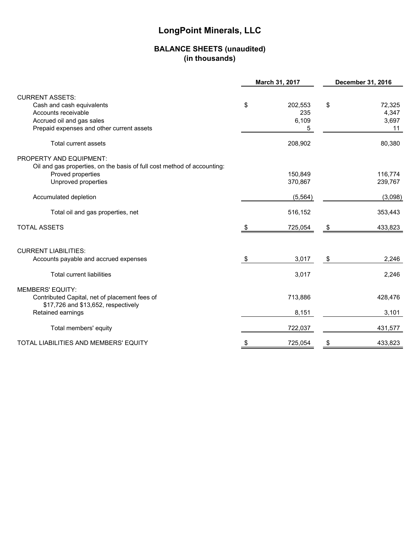## **BALANCE SHEETS (unaudited) (in thousands)**

|                                                                         |    | March 31, 2017 | December 31, 2016 |         |
|-------------------------------------------------------------------------|----|----------------|-------------------|---------|
| <b>CURRENT ASSETS:</b>                                                  |    |                |                   |         |
| Cash and cash equivalents                                               | \$ | 202,553        | \$                | 72,325  |
| Accounts receivable                                                     |    | 235            |                   | 4,347   |
| Accrued oil and gas sales                                               |    | 6,109          |                   | 3,697   |
| Prepaid expenses and other current assets                               |    | 5              |                   | 11      |
| <b>Total current assets</b>                                             |    | 208,902        |                   | 80,380  |
| PROPERTY AND EQUIPMENT:                                                 |    |                |                   |         |
| Oil and gas properties, on the basis of full cost method of accounting: |    |                |                   |         |
| Proved properties                                                       |    | 150,849        |                   | 116,774 |
| Unproved properties                                                     |    | 370,867        |                   | 239,767 |
| Accumulated depletion                                                   |    | (5, 564)       |                   | (3,098) |
| Total oil and gas properties, net                                       |    | 516,152        |                   | 353,443 |
| <b>TOTAL ASSETS</b>                                                     | S  | 725,054        | \$                | 433,823 |
| <b>CURRENT LIABILITIES:</b>                                             |    |                |                   |         |
| Accounts payable and accrued expenses                                   | \$ | 3,017          | \$                | 2,246   |
|                                                                         |    |                |                   |         |
| <b>Total current liabilities</b>                                        |    | 3,017          |                   | 2,246   |
| <b>MEMBERS' EQUITY:</b>                                                 |    |                |                   |         |
| Contributed Capital, net of placement fees of                           |    | 713,886        |                   | 428,476 |
| \$17,726 and \$13,652, respectively                                     |    |                |                   |         |
| Retained earnings                                                       |    | 8,151          |                   | 3,101   |
| Total members' equity                                                   |    | 722,037        |                   | 431,577 |
| TOTAL LIABILITIES AND MEMBERS' EQUITY                                   | \$ | 725,054        | \$                | 433,823 |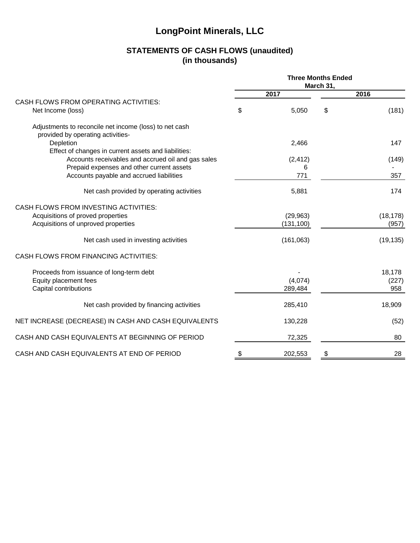## **STATEMENTS OF CASH FLOWS (unaudited) (in thousands)**

|                                                                                             | <b>Three Months Ended</b><br>March 31, |            |    |           |
|---------------------------------------------------------------------------------------------|----------------------------------------|------------|----|-----------|
|                                                                                             |                                        | 2017       |    | 2016      |
| CASH FLOWS FROM OPERATING ACTIVITIES:                                                       |                                        |            |    |           |
| Net Income (loss)                                                                           | \$                                     | 5,050      | \$ | (181)     |
| Adjustments to reconcile net income (loss) to net cash<br>provided by operating activities- |                                        |            |    |           |
| Depletion                                                                                   |                                        | 2,466      |    | 147       |
| Effect of changes in current assets and liabilities:                                        |                                        |            |    |           |
| Accounts receivables and accrued oil and gas sales                                          |                                        | (2, 412)   |    | (149)     |
| Prepaid expenses and other current assets                                                   |                                        | 6          |    |           |
| Accounts payable and accrued liabilities                                                    |                                        | 771        |    | 357       |
| Net cash provided by operating activities                                                   |                                        | 5,881      |    | 174       |
| CASH FLOWS FROM INVESTING ACTIVITIES:                                                       |                                        |            |    |           |
| Acquisitions of proved properties                                                           |                                        | (29, 963)  |    | (18, 178) |
| Acquisitions of unproved properties                                                         |                                        | (131, 100) |    | (957)     |
| Net cash used in investing activities                                                       |                                        | (161,063)  |    | (19, 135) |
| <b>CASH FLOWS FROM FINANCING ACTIVITIES:</b>                                                |                                        |            |    |           |
| Proceeds from issuance of long-term debt                                                    |                                        |            |    | 18,178    |
| Equity placement fees                                                                       |                                        | (4,074)    |    | (227)     |
| Capital contributions                                                                       |                                        | 289,484    |    | 958       |
| Net cash provided by financing activities                                                   |                                        | 285,410    |    | 18,909    |
| NET INCREASE (DECREASE) IN CASH AND CASH EQUIVALENTS                                        |                                        | 130,228    |    | (52)      |
| CASH AND CASH EQUIVALENTS AT BEGINNING OF PERIOD                                            |                                        | 72,325     |    | 80        |
| CASH AND CASH EQUIVALENTS AT END OF PERIOD                                                  | \$                                     | 202,553    | \$ | 28        |